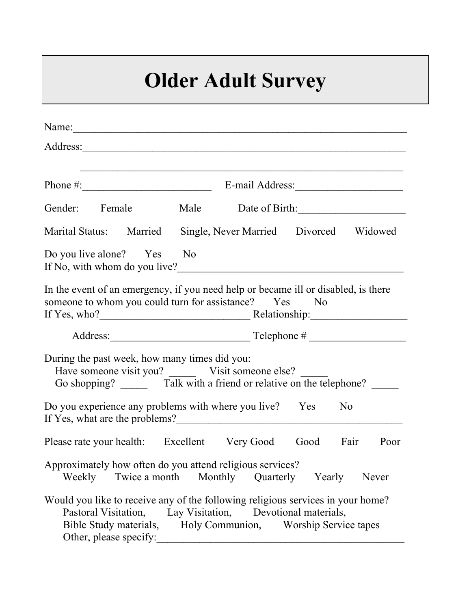## **Older Adult Survey**

| Name:                                                                                                                                                                                                                                   |         |           |                     |  |  |  |
|-----------------------------------------------------------------------------------------------------------------------------------------------------------------------------------------------------------------------------------------|---------|-----------|---------------------|--|--|--|
|                                                                                                                                                                                                                                         |         |           |                     |  |  |  |
|                                                                                                                                                                                                                                         |         |           |                     |  |  |  |
|                                                                                                                                                                                                                                         |         |           |                     |  |  |  |
| Gender: Female                                                                                                                                                                                                                          |         |           | Male Date of Birth: |  |  |  |
| Marital Status: Married Single, Never Married Divorced Widowed                                                                                                                                                                          |         |           |                     |  |  |  |
| Do you live alone? Yes No<br>If No, with whom do you live?                                                                                                                                                                              |         |           |                     |  |  |  |
| In the event of an emergency, if you need help or became ill or disabled, is there<br>someone to whom you could turn for assistance? Yes No                                                                                             |         |           |                     |  |  |  |
|                                                                                                                                                                                                                                         |         |           |                     |  |  |  |
| During the past week, how many times did you:<br>Have someone visit you? ________ Visit someone else?<br>Go shopping? _________ Talk with a friend or relative on the telephone?                                                        |         |           |                     |  |  |  |
| Do you experience any problems with where you live? Yes<br>N <sub>0</sub>                                                                                                                                                               |         |           |                     |  |  |  |
| Please rate your health: Excellent Very Good Good Fair                                                                                                                                                                                  |         |           | Poor                |  |  |  |
| Approximately how often do you attend religious services?<br>Twice a month<br>Weekly                                                                                                                                                    | Monthly | Quarterly | Yearly<br>Never     |  |  |  |
| Would you like to receive any of the following religious services in your home?<br>Pastoral Visitation, Lay Visitation, Devotional materials,<br>Bible Study materials, Holy Communion, Worship Service tapes<br>Other, please specify: |         |           |                     |  |  |  |